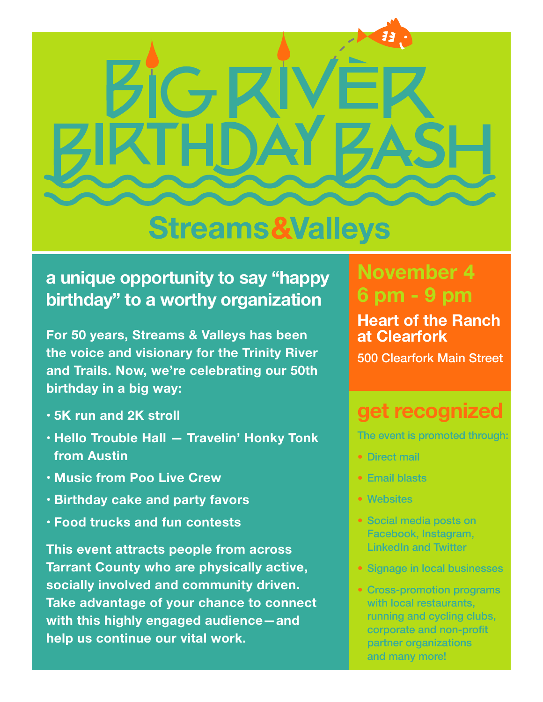

# **Streams&Valleys**

### **a unique opportunity to say "happy birthday" to a worthy organization**

**For 50 years, Streams & Valleys has been the voice and visionary for the Trinity River and Trails. Now, we're celebrating our 50th birthday in a big way:**

- **• 5K run and 2K stroll**
- **• Hello Trouble Hall — Travelin' Honky Tonk from Austin**
- **• Music from Poo Live Crew**
- **• Birthday cake and party favors**
- **• Food trucks and fun contests**

**This event attracts people from across Tarrant County who are physically active, socially involved and community driven. Take advantage of your chance to connect with this highly engaged audience—and help us continue our vital work.**

## **November 4 6 pm - 9 pm**

**Heart of the Ranch at Clearfork**

500 Clearfork Main Street

# **get recognized**

The event is promoted through:

- Direct mail
- Email blasts
- Websites
- Social media posts on Facebook, Instagram, LinkedIn and Twitter
- Signage in local businesses
- Cross-promotion programs with local restaurants, running and cycling clubs, corporate and non-profit partner organizations and many more!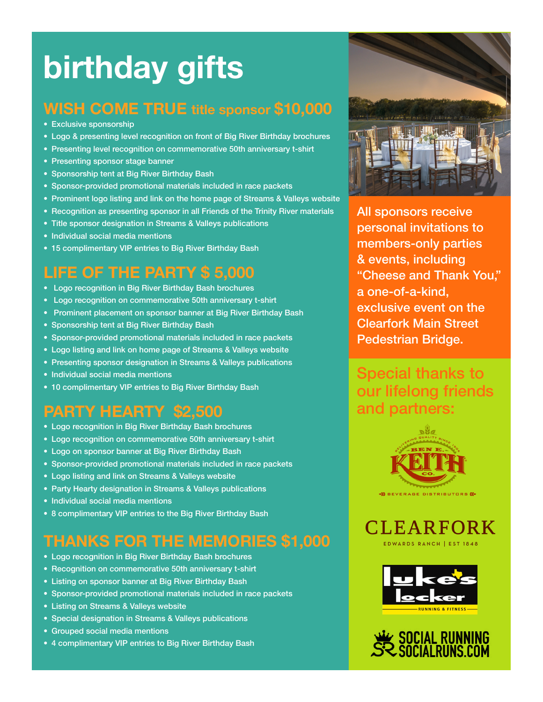# **birthday gifts**

#### **WISH COME TRUE title sponsor \$10,000**

- Exclusive sponsorship
- Logo & presenting level recognition on front of Big River Birthday brochures
- Presenting level recognition on commemorative 50th anniversary t-shirt
- Presenting sponsor stage banner
- Sponsorship tent at Big River Birthday Bash
- Sponsor-provided promotional materials included in race packets
- Prominent logo listing and link on the home page of Streams & Valleys website
- Recognition as presenting sponsor in all Friends of the Trinity River materials
- Title sponsor designation in Streams & Valleys publications
- Individual social media mentions
- 15 complimentary VIP entries to Big River Birthday Bash

#### **LIFE OF THE PARTY \$ 5,000**

- Logo recognition in Big River Birthday Bash brochures
- Logo recognition on commemorative 50th anniversary t-shirt
- Prominent placement on sponsor banner at Big River Birthday Bash
- Sponsorship tent at Big River Birthday Bash
- Sponsor-provided promotional materials included in race packets
- Logo listing and link on home page of Streams & Valleys website
- Presenting sponsor designation in Streams & Valleys publications
- Individual social media mentions
- 10 complimentary VIP entries to Big River Birthday Bash

#### **PARTY HEARTY \$2,500**

- Logo recognition in Big River Birthday Bash brochures
- Logo recognition on commemorative 50th anniversary t-shirt
- Logo on sponsor banner at Big River Birthday Bash
- Sponsor-provided promotional materials included in race packets
- Logo listing and link on Streams & Valleys website
- Party Hearty designation in Streams & Valleys publications
- Individual social media mentions
- 8 complimentary VIP entries to the Big River Birthday Bash

#### **THANKS FOR THE MEMORIES \$1,000**

- Logo recognition in Big River Birthday Bash brochures
- Recognition on commemorative 50th anniversary t-shirt
- Listing on sponsor banner at Big River Birthday Bash
- Sponsor-provided promotional materials included in race packets
- Listing on Streams & Valleys website
- Special designation in Streams & Valleys publications
- Grouped social media mentions
- 4 complimentary VIP entries to Big River Birthday Bash



All sponsors receive personal invitations to members-only parties & events, including "Cheese and Thank You," a one-of-a-kind, exclusive event on the Clearfork Main Street Pedestrian Bridge.

Special thanks to our lifelong friends and partners: